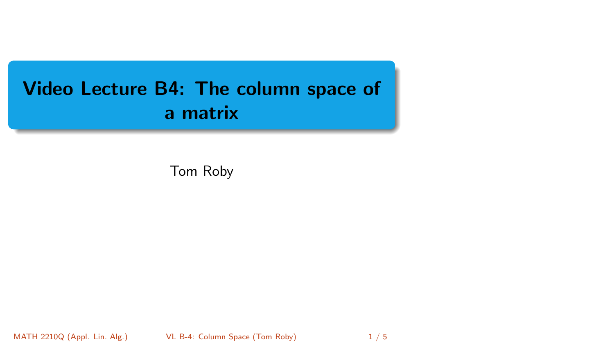# <span id="page-0-0"></span>Video Lecture B4: The column space of a matrix

Tom Roby

MATH 2210Q (Appl. Lin. Alg.) **[VL B-4: Column Space](#page-4-0) (Tom Roby)** 1/5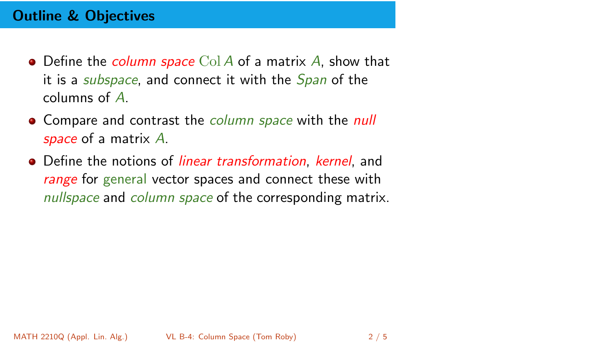# Outline & Objectives

- $\bullet$  Define the *column space* Col A of a matrix A, show that it is a *subspace*, and connect it with the *Span* of the columns of A.
- Compare and contrast the *column space* with the *null* space of a matrix A.
- Define the notions of *linear transformation, kernel*, and range for general vector spaces and connect these with nullspace and column space of the corresponding matrix.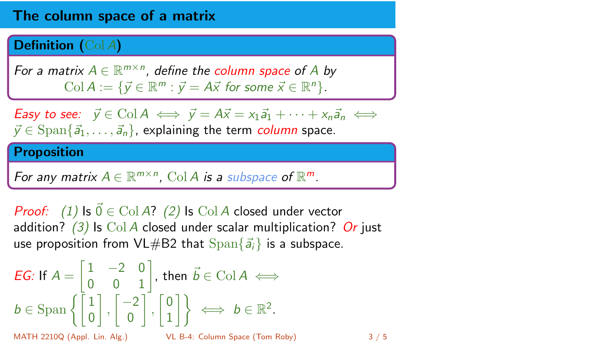## The column space of a matrix

#### Definition (Col A)

For a matrix  $A \in \mathbb{R}^{m \times n}$ , define the column space of A by Col  $A := \{ \vec{y} \in \mathbb{R}^m : \vec{y} = A\vec{x} \text{ for some } \vec{x} \in \mathbb{R}^n \}.$ 

**Easy to see:**  $\vec{y} \in \text{Col } A \iff \vec{y} = A\vec{x} = x_1\vec{a}_1 + \cdots + x_n\vec{a}_n \iff$  $\vec{y} \in \text{Span}\{\vec{a}_1, \ldots, \vec{a}_n\}$ , explaining the term *column* space.

#### Proposition

For any matrix  $A \in \mathbb{R}^{m \times n}$ , Col A is a subspace of  $\mathbb{R}^m$ .

*Proof:* (1) Is  $\vec{0} \in \text{Col } A$ ? (2) Is Col A closed under vector addition? (3) Is Col A closed under scalar multiplication? Or just use proposition from VL#B2 that  $\text{Span}\{\vec{a}_i\}$  is a subspace.

$$
EG: \text{ If } A = \begin{bmatrix} 1 & -2 & 0 \\ 0 & 0 & 1 \end{bmatrix}, \text{ then } \vec{b} \in \text{Col } A \iff
$$
  
\n
$$
b \in \text{Span } \left\{ \begin{bmatrix} 1 \\ 0 \end{bmatrix}, \begin{bmatrix} -2 \\ 0 \end{bmatrix}, \begin{bmatrix} 0 \\ 1 \end{bmatrix} \right\} \iff b \in \mathbb{R}^2.
$$
  
\nMATH 2210Q (Appl. Lin. Alg.)  
\n
$$
V = B-4: \text{ Column Space (Tom Roby)}
$$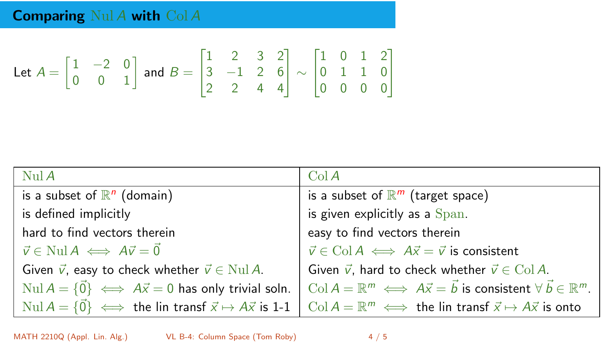Let 
$$
A = \begin{bmatrix} 1 & -2 & 0 \\ 0 & 0 & 1 \end{bmatrix}
$$
 and  $B = \begin{bmatrix} 1 & 2 & 3 & 2 \\ 3 & -1 & 2 & 6 \\ 2 & 2 & 4 & 4 \end{bmatrix} \sim \begin{bmatrix} 1 & 0 & 1 & 2 \\ 0 & 1 & 1 & 0 \\ 0 & 0 & 0 & 0 \end{bmatrix}$ 

| NulA                                                                       | ColA                                                                                              |
|----------------------------------------------------------------------------|---------------------------------------------------------------------------------------------------|
| is a subset of $\mathbb{R}^n$ (domain)                                     | is a subset of $\mathbb{R}^m$ (target space)                                                      |
| is defined implicitly                                                      | is given explicitly as a Span.                                                                    |
| hard to find vectors therein                                               | easy to find vectors therein                                                                      |
| $\vec{v} \in \text{Nul } A \iff A\vec{v} = \vec{0}$                        | $\vec{v} \in \text{Col } A \iff A\vec{x} = \vec{v}$ is consistent                                 |
| Given $\vec{v}$ , easy to check whether $\vec{v} \in \text{Nul } A$ .      | Given $\vec{v}$ , hard to check whether $\vec{v} \in \text{Col } A$ .                             |
| Nul $A = \{\vec{0}\}\iff A\vec{x} = 0$ has only trivial soln.              | Col $A = \mathbb{R}^m \iff A\vec{x} = \vec{b}$ is consistent $\forall \vec{b} \in \mathbb{R}^m$ . |
| Nul $A = \{\vec{0}\}\iff$ the lin transf $\vec{x} \mapsto A\vec{x}$ is 1-1 | $\mathrm{Col}\,A=\mathbb{R}^m \iff$ the lin transf $\vec{x} \mapsto A\vec{x}$ is onto             |